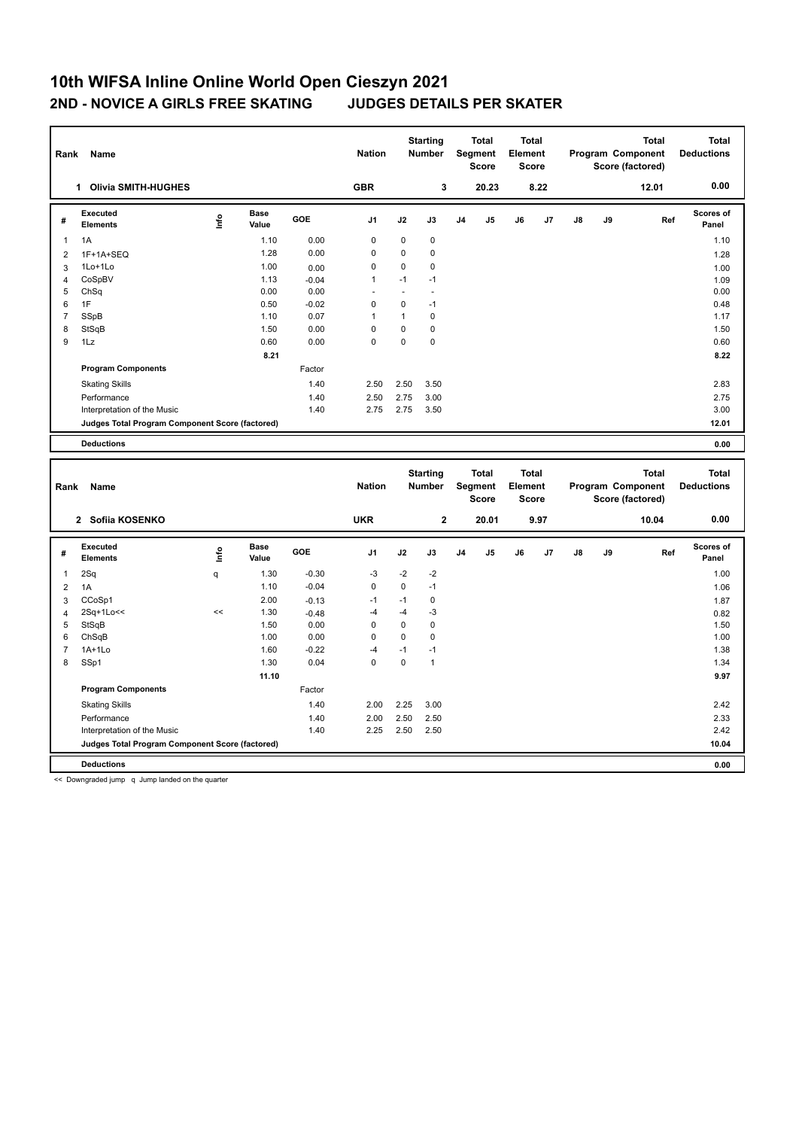## **10th WIFSA Inline Online World Open Cieszyn 2021 2ND - NOVICE A GIRLS FREE SKATING JUDGES DETAILS PER SKATER**

| Rank           | Name                                            |      |                      | <b>Starting</b><br><b>Total</b><br><b>Nation</b><br>Segment<br><b>Number</b><br><b>Score</b> |                |              |                                  | <b>Total</b><br>Element<br><b>Score</b> |                |                         | Program Component<br>Score (factored) | <b>Total</b><br><b>Deductions</b> |    |                                          |                                   |
|----------------|-------------------------------------------------|------|----------------------|----------------------------------------------------------------------------------------------|----------------|--------------|----------------------------------|-----------------------------------------|----------------|-------------------------|---------------------------------------|-----------------------------------|----|------------------------------------------|-----------------------------------|
|                | <b>Olivia SMITH-HUGHES</b><br>1                 |      |                      |                                                                                              | <b>GBR</b>     |              | 3                                |                                         | 20.23          |                         | 8.22                                  |                                   |    | 12.01                                    | 0.00                              |
| #              | Executed<br><b>Elements</b>                     | lnfo | <b>Base</b><br>Value | GOE                                                                                          | J <sub>1</sub> | J2           | J3                               | J <sub>4</sub>                          | J <sub>5</sub> | J6                      | J7                                    | $\mathsf{J}8$                     | J9 | Ref                                      | <b>Scores of</b><br>Panel         |
| $\overline{1}$ | 1A                                              |      | 1.10                 | 0.00                                                                                         | 0              | 0            | 0                                |                                         |                |                         |                                       |                                   |    |                                          | 1.10                              |
| $\overline{2}$ | 1F+1A+SEQ                                       |      | 1.28                 | 0.00                                                                                         | $\mathbf 0$    | 0            | 0                                |                                         |                |                         |                                       |                                   |    |                                          | 1.28                              |
| 3              | 1Lo+1Lo                                         |      | 1.00                 | 0.00                                                                                         | 0              | 0            | 0                                |                                         |                |                         |                                       |                                   |    |                                          | 1.00                              |
| 4              | CoSpBV                                          |      | 1.13                 | $-0.04$                                                                                      | $\mathbf{1}$   | $-1$         | $-1$                             |                                         |                |                         |                                       |                                   |    |                                          | 1.09                              |
| 5              | ChSq                                            |      | 0.00                 | 0.00                                                                                         |                | ٠            | $\overline{\phantom{a}}$         |                                         |                |                         |                                       |                                   |    |                                          | 0.00                              |
| 6              | 1F                                              |      | 0.50                 | $-0.02$                                                                                      | 0              | $\Omega$     | $-1$                             |                                         |                |                         |                                       |                                   |    |                                          | 0.48                              |
| $\overline{7}$ | SSpB                                            |      | 1.10                 | 0.07                                                                                         | -1             | $\mathbf{1}$ | 0                                |                                         |                |                         |                                       |                                   |    |                                          | 1.17                              |
| 8              | StSqB                                           |      | 1.50                 | 0.00                                                                                         | 0              | $\mathbf 0$  | $\mathbf 0$                      |                                         |                |                         |                                       |                                   |    |                                          | 1.50                              |
| 9              | 1Lz                                             |      | 0.60                 | 0.00                                                                                         | $\mathbf 0$    | $\mathbf 0$  | $\mathbf 0$                      |                                         |                |                         |                                       |                                   |    |                                          | 0.60                              |
|                |                                                 |      | 8.21                 |                                                                                              |                |              |                                  |                                         |                |                         |                                       |                                   |    |                                          | 8.22                              |
|                | <b>Program Components</b>                       |      |                      | Factor                                                                                       |                |              |                                  |                                         |                |                         |                                       |                                   |    |                                          |                                   |
|                | <b>Skating Skills</b>                           |      |                      | 1.40                                                                                         | 2.50           | 2.50         | 3.50                             |                                         |                |                         |                                       |                                   |    |                                          | 2.83                              |
|                | Performance                                     |      |                      | 1.40                                                                                         | 2.50           | 2.75         | 3.00                             |                                         |                |                         |                                       |                                   |    |                                          | 2.75                              |
|                | Interpretation of the Music                     |      |                      | 1.40                                                                                         | 2.75           | 2.75         | 3.50                             |                                         |                |                         |                                       |                                   |    |                                          | 3.00                              |
|                | Judges Total Program Component Score (factored) |      |                      |                                                                                              |                |              |                                  |                                         |                |                         |                                       |                                   |    |                                          | 12.01                             |
|                | <b>Deductions</b>                               |      |                      |                                                                                              |                |              |                                  |                                         |                |                         |                                       |                                   |    |                                          | 0.00                              |
|                |                                                 |      |                      |                                                                                              |                |              |                                  |                                         |                |                         |                                       |                                   |    |                                          |                                   |
| Rank           | <b>Name</b>                                     |      |                      |                                                                                              | <b>Nation</b>  |              | <b>Starting</b><br><b>Number</b> | <b>Seament</b>                          | <b>Total</b>   | <b>Total</b><br>Element |                                       |                                   |    | <b>Total</b><br><b>Program Component</b> | <b>Total</b><br><b>Deductions</b> |

| Rank<br>Name |                                                 |      |               |         | <b>Nation</b>  | <b>Number</b> |              | Segment<br><b>Score</b> |                | Element<br><b>Score</b> |      | Program Component<br>Score (factored) |    |       | <b>Deductions</b>         |
|--------------|-------------------------------------------------|------|---------------|---------|----------------|---------------|--------------|-------------------------|----------------|-------------------------|------|---------------------------------------|----|-------|---------------------------|
|              | 2 Sofiia KOSENKO                                |      |               |         | <b>UKR</b>     |               | $\mathbf{2}$ |                         | 20.01          |                         | 9.97 |                                       |    | 10.04 | 0.00                      |
| #            | <b>Executed</b><br>Elements                     | lnfo | Base<br>Value | GOE     | J <sub>1</sub> | J2            | J3           | J <sub>4</sub>          | J <sub>5</sub> | J6                      | J7   | J8                                    | J9 | Ref   | <b>Scores of</b><br>Panel |
|              | 2Sq                                             | q    | 1.30          | $-0.30$ | $-3$           | $-2$          | $-2$         |                         |                |                         |      |                                       |    |       | 1.00                      |
| 2            | 1A                                              |      | 1.10          | $-0.04$ | $\mathbf 0$    | $\mathbf 0$   | $-1$         |                         |                |                         |      |                                       |    |       | 1.06                      |
| 3            | CCoSp1                                          |      | 2.00          | $-0.13$ | $-1$           | $-1$          | 0            |                         |                |                         |      |                                       |    |       | 1.87                      |
| 4            | 2Sq+1Lo<<                                       | <<   | 1.30          | $-0.48$ | $-4$           | -4            | -3           |                         |                |                         |      |                                       |    |       | 0.82                      |
| 5            | StSqB                                           |      | 1.50          | 0.00    | 0              | $\mathbf 0$   | 0            |                         |                |                         |      |                                       |    |       | 1.50                      |
| 6            | ChSqB                                           |      | 1.00          | 0.00    | 0              | $\mathbf 0$   | 0            |                         |                |                         |      |                                       |    |       | 1.00                      |
|              | 1A+1Lo                                          |      | 1.60          | $-0.22$ | $-4$           | $-1$          | $-1$         |                         |                |                         |      |                                       |    |       | 1.38                      |
| 8            | SSp1                                            |      | 1.30          | 0.04    | 0              | 0             | 1            |                         |                |                         |      |                                       |    |       | 1.34                      |
|              |                                                 |      | 11.10         |         |                |               |              |                         |                |                         |      |                                       |    |       | 9.97                      |
|              | <b>Program Components</b>                       |      |               | Factor  |                |               |              |                         |                |                         |      |                                       |    |       |                           |
|              | <b>Skating Skills</b>                           |      |               | 1.40    | 2.00           | 2.25          | 3.00         |                         |                |                         |      |                                       |    |       | 2.42                      |
|              | Performance                                     |      |               | 1.40    | 2.00           | 2.50          | 2.50         |                         |                |                         |      |                                       |    |       | 2.33                      |
|              | Interpretation of the Music                     |      |               | 1.40    | 2.25           | 2.50          | 2.50         |                         |                |                         |      |                                       |    |       | 2.42                      |
|              | Judges Total Program Component Score (factored) |      |               |         |                |               |              |                         |                |                         |      |                                       |    |       | 10.04                     |
|              | <b>Deductions</b>                               |      |               |         |                |               |              |                         |                |                         |      |                                       |    |       | 0.00                      |

<< Downgraded jump q Jump landed on the quarter